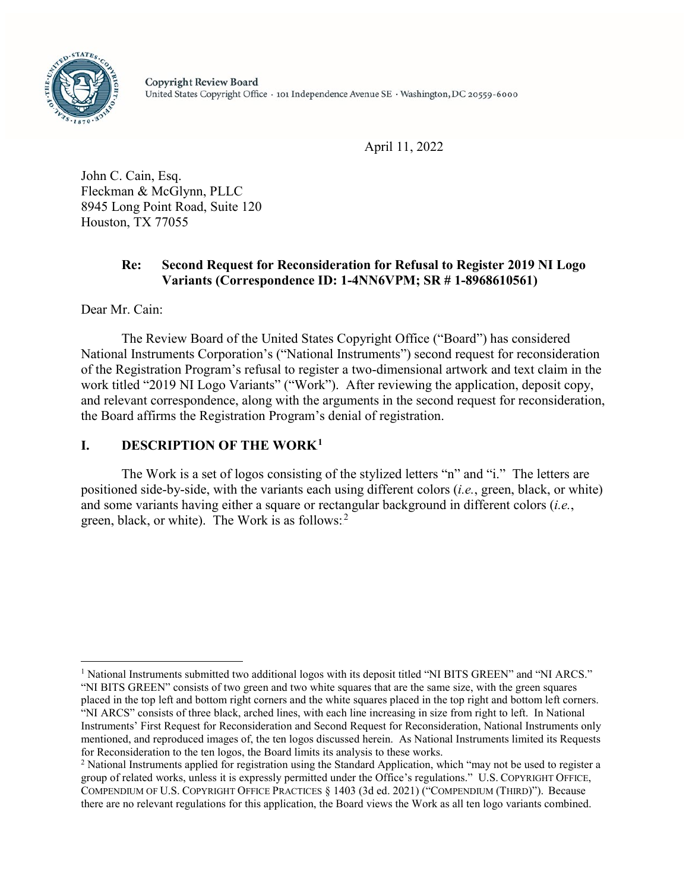

April 11, 2022

John C. Cain, Esq. Fleckman & McGlynn, PLLC 8945 Long Point Road, Suite 120 Houston, TX 77055

# **Re: Second Request for Reconsideration for Refusal to Register 2019 NI Logo Variants (Correspondence ID: 1-4NN6VPM; SR # 1-8968610561)**

Dear Mr. Cain:

The Review Board of the United States Copyright Office ("Board") has considered National Instruments Corporation's ("National Instruments") second request for reconsideration of the Registration Program's refusal to register a two-dimensional artwork and text claim in the work titled "2019 NI Logo Variants" ("Work"). After reviewing the application, deposit copy, and relevant correspondence, along with the arguments in the second request for reconsideration, the Board affirms the Registration Program's denial of registration.

# **1. DESCRIPTION OF THE WORK**<sup>1</sup>

The Work is a set of logos consisting of the stylized letters "n" and "i." The letters are positioned side-by-side, with the variants each using different colors (*i.e.*, green, black, or white) and some variants having either a square or rectangular background in different colors (*i.e.*, green, black, or white). The Work is as follows:<sup>2</sup>

<sup>&</sup>lt;sup>1</sup> National Instruments submitted two additional logos with its deposit titled "NI BITS GREEN" and "NI ARCS." "NI BITS GREEN" consists of two green and two white squares that are the same size, with the green squares placed in the top left and bottom right corners and the white squares placed in the top right and bottom left corners. "NI ARCS" consists of three black, arched lines, with each line increasing in size from right to left. In National Instruments' First Request for Reconsideration and Second Request for Reconsideration, National Instruments only mentioned, and reproduced images of, the ten logos discussed herein. As National Instruments limited its Requests for Reconsideration to the ten logos, the Board limits its analysis to these works.<br><sup>2</sup> National Instruments applied for registration using the Standard Application, which "may not be used to register a

group of related works, unless it is expressly permitted under the Office's regulations." U.S. COPYRIGHT OFFICE, COMPENDIUM OF U.S. COPYRIGHT OFFICE PRACTICES § 1403 (3d ed. 2021) ("COMPENDIUM (THIRD)"). Because there are no relevant regulations for this application, the Board views the Work as all ten logo variants combined.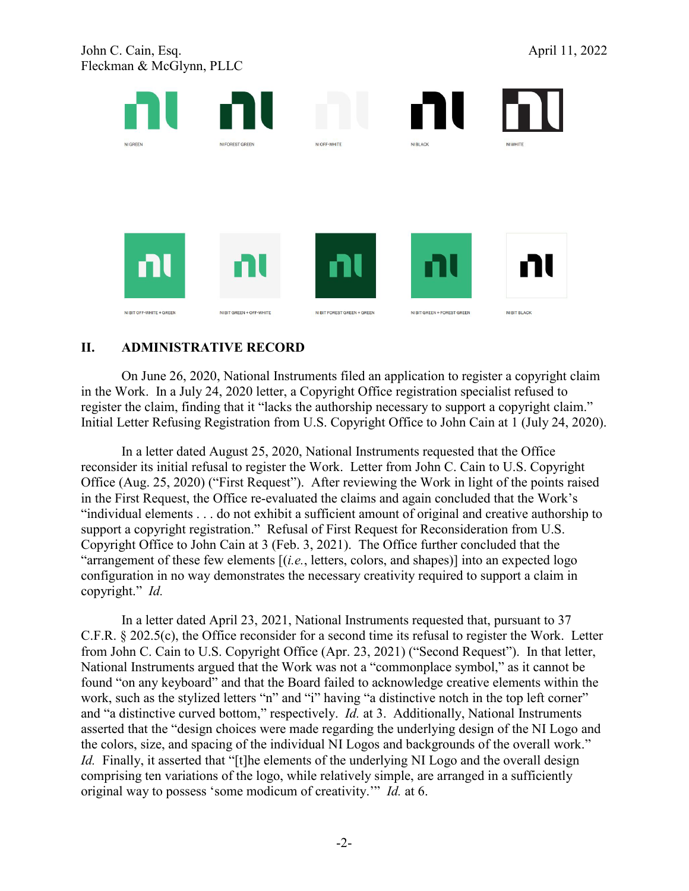John C. Cain, Esq. April 11, 2022 Fleckman & McGlynn, PLLC



# **II. ADMINISTRATIVE RECORD**

On June 26, 2020, National Instruments filed an application to register a copyright claim in the Work. In a July 24, 2020 letter, a Copyright Office registration specialist refused to register the claim, finding that it "lacks the authorship necessary to support a copyright claim." Initial Letter Refusing Registration from U.S. Copyright Office to John Cain at 1 (July 24, 2020).

In a letter dated August 25, 2020, National Instruments requested that the Office reconsider its initial refusal to register the Work. Letter from John C. Cain to U.S. Copyright Office (Aug. 25, 2020) ("First Request"). After reviewing the Work in light of the points raised in the First Request, the Office re-evaluated the claims and again concluded that the Work's "individual elements . . . do not exhibit a sufficient amount of original and creative authorship to support a copyright registration." Refusal of First Request for Reconsideration from U.S. Copyright Office to John Cain at 3 (Feb. 3, 2021). The Office further concluded that the "arrangement of these few elements [(*i.e.*, letters, colors, and shapes)] into an expected logo configuration in no way demonstrates the necessary creativity required to support a claim in copyright." *Id.*

In a letter dated April 23, 2021, National Instruments requested that, pursuant to 37 C.F.R. § 202.5(c), the Office reconsider for a second time its refusal to register the Work. Letter from John C. Cain to U.S. Copyright Office (Apr. 23, 2021) ("Second Request"). In that letter, National Instruments argued that the Work was not a "commonplace symbol," as it cannot be found "on any keyboard" and that the Board failed to acknowledge creative elements within the work, such as the stylized letters "n" and "i" having "a distinctive notch in the top left corner" and "a distinctive curved bottom," respectively. *Id.* at 3. Additionally, National Instruments asserted that the "design choices were made regarding the underlying design of the NI Logo and the colors, size, and spacing of the individual NI Logos and backgrounds of the overall work." *Id.* Finally, it asserted that "[t]he elements of the underlying NI Logo and the overall design comprising ten variations of the logo, while relatively simple, are arranged in a sufficiently original way to possess 'some modicum of creativity.'" *Id.* at 6.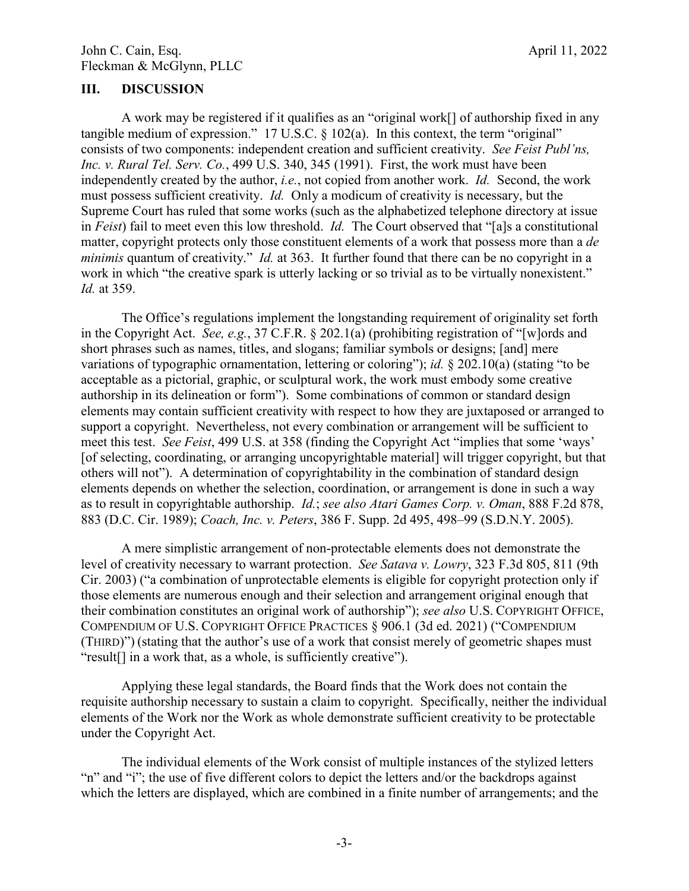### **III. DISCUSSION**

A work may be registered if it qualifies as an "original work[] of authorship fixed in any tangible medium of expression." 17 U.S.C. § 102(a). In this context, the term "original" consists of two components: independent creation and sufficient creativity. *See Feist Publ'ns, Inc. v. Rural Tel. Serv. Co.*, 499 U.S. 340, 345 (1991). First, the work must have been independently created by the author, *i.e.*, not copied from another work. *Id.* Second, the work must possess sufficient creativity. *Id.* Only a modicum of creativity is necessary, but the Supreme Court has ruled that some works (such as the alphabetized telephone directory at issue in *Feist*) fail to meet even this low threshold. *Id.* The Court observed that "[a]s a constitutional matter, copyright protects only those constituent elements of a work that possess more than a *de minimis* quantum of creativity." *Id.* at 363. It further found that there can be no copyright in a work in which "the creative spark is utterly lacking or so trivial as to be virtually nonexistent." *Id.* at 359.

The Office's regulations implement the longstanding requirement of originality set forth in the Copyright Act. *See, e.g.*, 37 C.F.R. § 202.1(a) (prohibiting registration of "[w]ords and short phrases such as names, titles, and slogans; familiar symbols or designs; [and] mere variations of typographic ornamentation, lettering or coloring"); *id.* § 202.10(a) (stating "to be acceptable as a pictorial, graphic, or sculptural work, the work must embody some creative authorship in its delineation or form"). Some combinations of common or standard design elements may contain sufficient creativity with respect to how they are juxtaposed or arranged to support a copyright. Nevertheless, not every combination or arrangement will be sufficient to meet this test. *See Feist*, 499 U.S. at 358 (finding the Copyright Act "implies that some 'ways' [of selecting, coordinating, or arranging uncopyrightable material] will trigger copyright, but that others will not"). A determination of copyrightability in the combination of standard design elements depends on whether the selection, coordination, or arrangement is done in such a way as to result in copyrightable authorship. *Id.*; *see also Atari Games Corp. v. Oman*, 888 F.2d 878, 883 (D.C. Cir. 1989); *Coach, Inc. v. Peters*, 386 F. Supp. 2d 495, 498–99 (S.D.N.Y. 2005).

A mere simplistic arrangement of non-protectable elements does not demonstrate the level of creativity necessary to warrant protection. *See Satava v. Lowry*, 323 F.3d 805, 811 (9th Cir. 2003) ("a combination of unprotectable elements is eligible for copyright protection only if those elements are numerous enough and their selection and arrangement original enough that their combination constitutes an original work of authorship"); *see also* U.S. COPYRIGHT OFFICE, COMPENDIUM OF U.S. COPYRIGHT OFFICE PRACTICES § 906.1 (3d ed. 2021) ("COMPENDIUM (THIRD)") (stating that the author's use of a work that consist merely of geometric shapes must "result[] in a work that, as a whole, is sufficiently creative").

Applying these legal standards, the Board finds that the Work does not contain the requisite authorship necessary to sustain a claim to copyright. Specifically, neither the individual elements of the Work nor the Work as whole demonstrate sufficient creativity to be protectable under the Copyright Act.

The individual elements of the Work consist of multiple instances of the stylized letters "n" and "i"; the use of five different colors to depict the letters and/or the backdrops against which the letters are displayed, which are combined in a finite number of arrangements; and the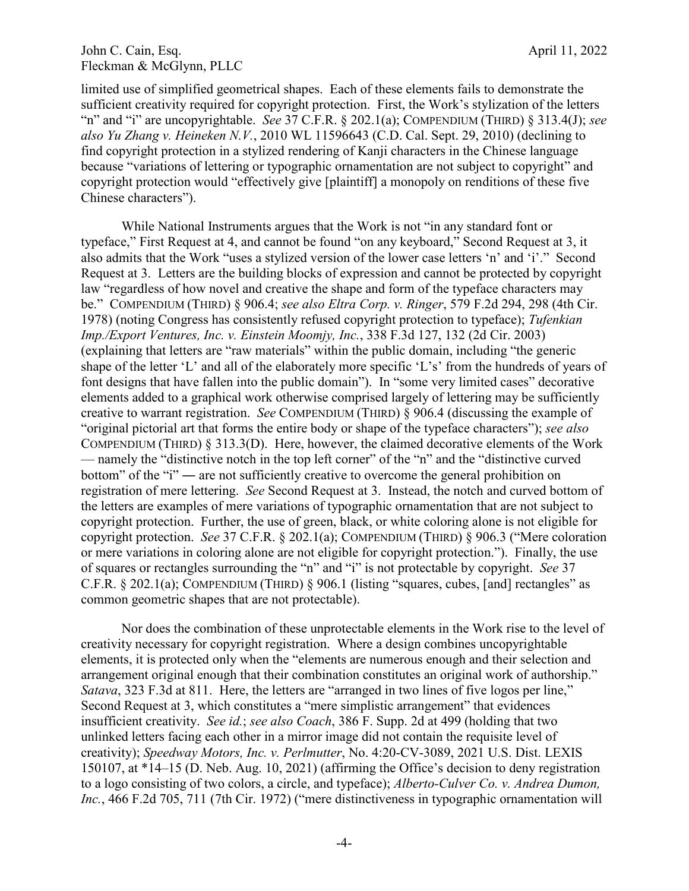### John C. Cain, Esq. April 11, 2022 Fleckman & McGlynn, PLLC

limited use of simplified geometrical shapes. Each of these elements fails to demonstrate the sufficient creativity required for copyright protection. First, the Work's stylization of the letters "n" and "i" are uncopyrightable. *See* 37 C.F.R. § 202.1(a); COMPENDIUM (THIRD) § 313.4(J); *see also Yu Zhang v. Heineken N.V.*, 2010 WL 11596643 (C.D. Cal. Sept. 29, 2010) (declining to find copyright protection in a stylized rendering of Kanji characters in the Chinese language because "variations of lettering or typographic ornamentation are not subject to copyright" and copyright protection would "effectively give [plaintiff] a monopoly on renditions of these five Chinese characters").

While National Instruments argues that the Work is not "in any standard font or typeface," First Request at 4, and cannot be found "on any keyboard," Second Request at 3, it also admits that the Work "uses a stylized version of the lower case letters 'n' and 'i'." Second Request at 3. Letters are the building blocks of expression and cannot be protected by copyright law "regardless of how novel and creative the shape and form of the typeface characters may be." COMPENDIUM (THIRD) § 906.4; *see also Eltra Corp. v. Ringer*, 579 F.2d 294, 298 (4th Cir. 1978) (noting Congress has consistently refused copyright protection to typeface); *Tufenkian Imp./Export Ventures, Inc. v. Einstein Moomjy, Inc.*, 338 F.3d 127, 132 (2d Cir. 2003) (explaining that letters are "raw materials" within the public domain, including "the generic shape of the letter 'L' and all of the elaborately more specific 'L's' from the hundreds of years of font designs that have fallen into the public domain"). In "some very limited cases" decorative elements added to a graphical work otherwise comprised largely of lettering may be sufficiently creative to warrant registration. *See* COMPENDIUM (THIRD) § 906.4 (discussing the example of "original pictorial art that forms the entire body or shape of the typeface characters"); *see also* COMPENDIUM (THIRD) § 313.3(D). Here, however, the claimed decorative elements of the Work — namely the "distinctive notch in the top left corner" of the "n" and the "distinctive curved bottom" of the "i" — are not sufficiently creative to overcome the general prohibition on registration of mere lettering. *See* Second Request at 3. Instead, the notch and curved bottom of the letters are examples of mere variations of typographic ornamentation that are not subject to copyright protection. Further, the use of green, black, or white coloring alone is not eligible for copyright protection. *See* 37 C.F.R. § 202.1(a); COMPENDIUM (THIRD) § 906.3 ("Mere coloration or mere variations in coloring alone are not eligible for copyright protection."). Finally, the use of squares or rectangles surrounding the "n" and "i" is not protectable by copyright. *See* 37 C.F.R. § 202.1(a); COMPENDIUM (THIRD) § 906.1 (listing "squares, cubes, [and] rectangles" as common geometric shapes that are not protectable).

Nor does the combination of these unprotectable elements in the Work rise to the level of creativity necessary for copyright registration. Where a design combines uncopyrightable elements, it is protected only when the "elements are numerous enough and their selection and arrangement original enough that their combination constitutes an original work of authorship." *Satava*, 323 F.3d at 811. Here, the letters are "arranged in two lines of five logos per line," Second Request at 3, which constitutes a "mere simplistic arrangement" that evidences insufficient creativity. *See id.*; *see also Coach*, 386 F. Supp. 2d at 499 (holding that two unlinked letters facing each other in a mirror image did not contain the requisite level of creativity); *Speedway Motors, Inc. v. Perlmutter*, No. 4:20-CV-3089, 2021 U.S. Dist. LEXIS 150107, at \*14–15 (D. Neb. Aug. 10, 2021) (affirming the Office's decision to deny registration to a logo consisting of two colors, a circle, and typeface); *Alberto-Culver Co. v. Andrea Dumon, Inc.*, 466 F.2d 705, 711 (7th Cir. 1972) ("mere distinctiveness in typographic ornamentation will